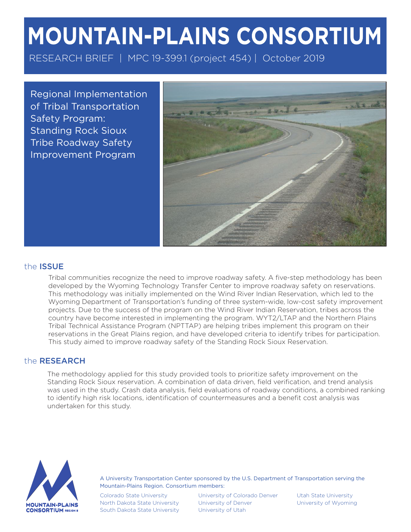# MOUNTAIN-PLAINS CONSORTIUM

RESEARCH BRIEF | MPC 19-399.1 (project 454) | October 2019

Regional Implementation of Tribal Transportation Safety Program: Standing Rock Sioux Tribe Roadway Safety Improvement Program



## the ISSUE

Tribal communities recognize the need to improve roadway safety. A five-step methodology has been developed by the Wyoming Technology Transfer Center to improve roadway safety on reservations. This methodology was initially implemented on the Wind River Indian Reservation, which led to the Wyoming Department of Transportation's funding of three system-wide, low-cost safety improvement projects. Due to the success of the program on the Wind River Indian Reservation, tribes across the country have become interested in implementing the program. WYT2/LTAP and the Northern Plains Tribal Technical Assistance Program (NPTTAP) are helping tribes implement this program on their reservations in the Great Plains region, and have developed criteria to identify tribes for participation. This study aimed to improve roadway safety of the Standing Rock Sioux Reservation.

## the RESEARCH

The methodology applied for this study provided tools to prioritize safety improvement on the Standing Rock Sioux reservation. A combination of data driven, field verification, and trend analysis was used in the study. Crash data analysis, field evaluations of roadway conditions, a combined ranking to identify high risk locations, identification of countermeasures and a benefit cost analysis was undertaken for this study.



A University Transportation Center sponsored by the U.S. Department of Transportation serving the Mountain-Plains Region. Consortium members:

Colorado State University North Dakota State University South Dakota State University

University of Colorado Denver University of Denver University of Utah

Utah State University University of Wyoming